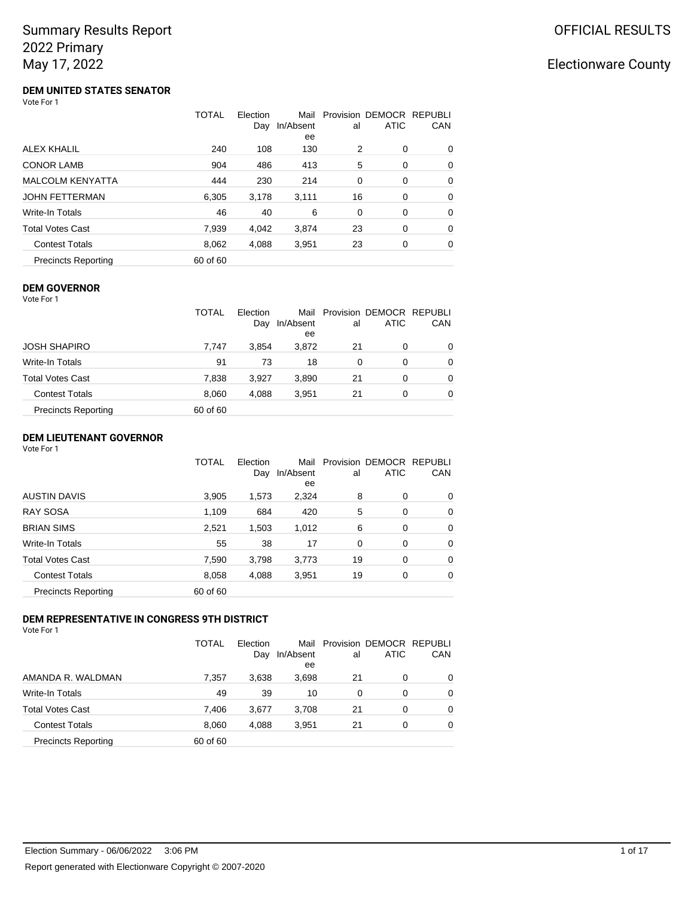## Electionware County

### **DEM UNITED STATES SENATOR** Vote For 1

|                            | <b>TOTAL</b> | Election<br>Day | Mail<br>In/Absent<br>ee | al             | Provision DEMOCR REPUBLI<br><b>ATIC</b> | CAN |
|----------------------------|--------------|-----------------|-------------------------|----------------|-----------------------------------------|-----|
| <b>ALEX KHALIL</b>         | 240          | 108             | 130                     | $\overline{2}$ | 0                                       | 0   |
| <b>CONOR LAMB</b>          | 904          | 486             | 413                     | 5              | 0                                       | 0   |
| <b>MALCOLM KENYATTA</b>    | 444          | 230             | 214                     | 0              | 0                                       | 0   |
| <b>JOHN FETTERMAN</b>      | 6,305        | 3,178           | 3,111                   | 16             | 0                                       | 0   |
| <b>Write-In Totals</b>     | 46           | 40              | 6                       | 0              | 0                                       | 0   |
| <b>Total Votes Cast</b>    | 7,939        | 4.042           | 3,874                   | 23             | 0                                       | 0   |
| <b>Contest Totals</b>      | 8,062        | 4.088           | 3,951                   | 23             | 0                                       | 0   |
| <b>Precincts Reporting</b> | 60 of 60     |                 |                         |                |                                         |     |

## **DEM GOVERNOR**

Vote For 1

|                            | <b>TOTAL</b> | Election | Mail      |    | Provision DEMOCR REPUBLI |          |
|----------------------------|--------------|----------|-----------|----|--------------------------|----------|
|                            |              | Day      | In/Absent | al | <b>ATIC</b>              | CAN      |
|                            |              |          | ee        |    |                          |          |
| <b>JOSH SHAPIRO</b>        | 7.747        | 3.854    | 3,872     | 21 | 0                        | 0        |
| Write-In Totals            | 91           | 73       | 18        | 0  | 0                        | $\Omega$ |
| <b>Total Votes Cast</b>    | 7,838        | 3.927    | 3,890     | 21 | 0                        | 0        |
| <b>Contest Totals</b>      | 8.060        | 4.088    | 3.951     | 21 | 0                        | $\Omega$ |
| <b>Precincts Reporting</b> | 60 of 60     |          |           |    |                          |          |

## **DEM LIEUTENANT GOVERNOR**

|                            | TOTAL    | Election<br>Day | Mail<br>In/Absent | al | Provision DEMOCR REPUBLI<br><b>ATIC</b> | CAN         |
|----------------------------|----------|-----------------|-------------------|----|-----------------------------------------|-------------|
| <b>AUSTIN DAVIS</b>        | 3,905    | 1,573           | ee<br>2,324       | 8  | 0                                       | 0           |
| <b>RAY SOSA</b>            | 1,109    | 684             | 420               | 5  | 0                                       | 0           |
| <b>BRIAN SIMS</b>          | 2,521    | 1,503           | 1,012             | 6  | 0                                       | $\mathbf 0$ |
| Write-In Totals            | 55       | 38              | 17                | 0  | 0                                       | 0           |
| <b>Total Votes Cast</b>    | 7,590    | 3,798           | 3,773             | 19 | 0                                       | 0           |
| <b>Contest Totals</b>      | 8,058    | 4,088           | 3,951             | 19 | 0                                       | 0           |
| <b>Precincts Reporting</b> | 60 of 60 |                 |                   |    |                                         |             |

## **DEM REPRESENTATIVE IN CONGRESS 9TH DISTRICT**

| Vote For 1                 |              |                 |                         |    |                                         |            |
|----------------------------|--------------|-----------------|-------------------------|----|-----------------------------------------|------------|
|                            | <b>TOTAL</b> | Election<br>Day | Mail<br>In/Absent<br>ee | al | Provision DEMOCR REPUBLI<br><b>ATIC</b> | <b>CAN</b> |
| AMANDA R. WALDMAN          | 7,357        | 3,638           | 3,698                   | 21 | 0                                       | $\Omega$   |
| <b>Write-In Totals</b>     | 49           | 39              | 10                      | 0  | 0                                       | $\Omega$   |
| <b>Total Votes Cast</b>    | 7,406        | 3,677           | 3,708                   | 21 | 0                                       | $\Omega$   |
| <b>Contest Totals</b>      | 8,060        | 4.088           | 3,951                   | 21 | 0                                       | 0          |
| <b>Precincts Reporting</b> | 60 of 60     |                 |                         |    |                                         |            |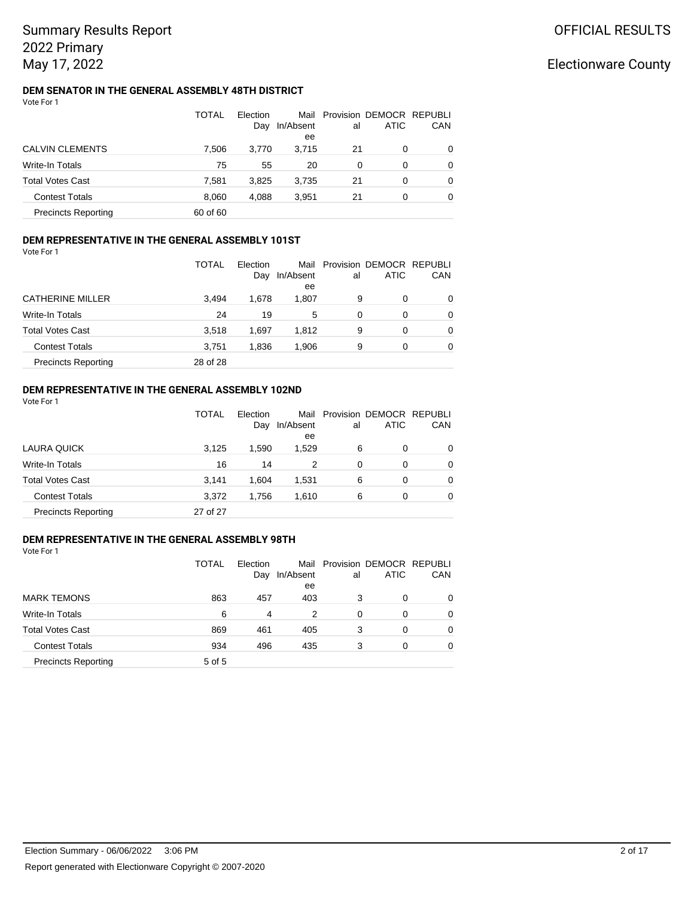### **DEM SENATOR IN THE GENERAL ASSEMBLY 48TH DISTRICT** Vote For 1

|                            | TOTAL    | Election<br>Day | Mail<br>In/Absent<br>ee | al | Provision DEMOCR REPUBLI<br>ATIC | CAN |
|----------------------------|----------|-----------------|-------------------------|----|----------------------------------|-----|
| <b>CALVIN CLEMENTS</b>     | 7.506    | 3.770           | 3.715                   | 21 | 0                                | 0   |
| Write-In Totals            | 75       | 55              | 20                      | 0  | 0                                | 0   |
| <b>Total Votes Cast</b>    | 7,581    | 3.825           | 3,735                   | 21 | 0                                | 0   |
| <b>Contest Totals</b>      | 8.060    | 4.088           | 3.951                   | 21 | 0                                | 0   |
| <b>Precincts Reporting</b> | 60 of 60 |                 |                         |    |                                  |     |

### **DEM REPRESENTATIVE IN THE GENERAL ASSEMBLY 101ST**

Vote For 1

|                            | TOTAL    | <b>Flection</b><br>Day | Mail<br>In/Absent<br>ee | al | Provision DEMOCR REPUBLI<br><b>ATIC</b> | CAN      |
|----------------------------|----------|------------------------|-------------------------|----|-----------------------------------------|----------|
| <b>CATHERINE MILLER</b>    | 3.494    | 1.678                  | 1.807                   | 9  | 0                                       | 0        |
| <b>Write-In Totals</b>     | 24       | 19                     | 5                       | 0  | 0                                       | 0        |
| <b>Total Votes Cast</b>    | 3.518    | 1.697                  | 1,812                   | 9  | 0                                       | $\Omega$ |
| <b>Contest Totals</b>      | 3.751    | 1.836                  | 1,906                   | 9  | 0                                       | 0        |
| <b>Precincts Reporting</b> | 28 of 28 |                        |                         |    |                                         |          |

### **DEM REPRESENTATIVE IN THE GENERAL ASSEMBLY 102ND**

Vote For 1

|                            | <b>TOTAL</b> | Election<br>Day | Mail<br>In/Absent<br>ee | al | Provision DEMOCR REPUBLI<br>ATIC | CAN |
|----------------------------|--------------|-----------------|-------------------------|----|----------------------------------|-----|
| LAURA QUICK                | 3.125        | 1,590           | 1,529                   | 6  | 0                                | 0   |
| Write-In Totals            | 16           | 14              | 2                       | 0  | 0                                | 0   |
| <b>Total Votes Cast</b>    | 3.141        | 1.604           | 1,531                   | 6  | 0                                | 0   |
| <b>Contest Totals</b>      | 3.372        | 1.756           | 1,610                   | 6  | $\Omega$                         | 0   |
| <b>Precincts Reporting</b> | 27 of 27     |                 |                         |    |                                  |     |

## **DEM REPRESENTATIVE IN THE GENERAL ASSEMBLY 98TH**

Vote For 1

|                            | TOTAL  | Election<br>Day | In/Absent<br>ee | al | Mail Provision DEMOCR REPUBLI<br>ATIC | CAN      |
|----------------------------|--------|-----------------|-----------------|----|---------------------------------------|----------|
| <b>MARK TEMONS</b>         | 863    | 457             | 403             | 3  | 0                                     | 0        |
| Write-In Totals            | 6      | 4               | 2               | 0  | 0                                     | 0        |
| <b>Total Votes Cast</b>    | 869    | 461             | 405             | 3  | 0                                     | $\Omega$ |
| <b>Contest Totals</b>      | 934    | 496             | 435             | 3  | 0                                     | $\Omega$ |
| <b>Precincts Reporting</b> | 5 of 5 |                 |                 |    |                                       |          |

## Electionware County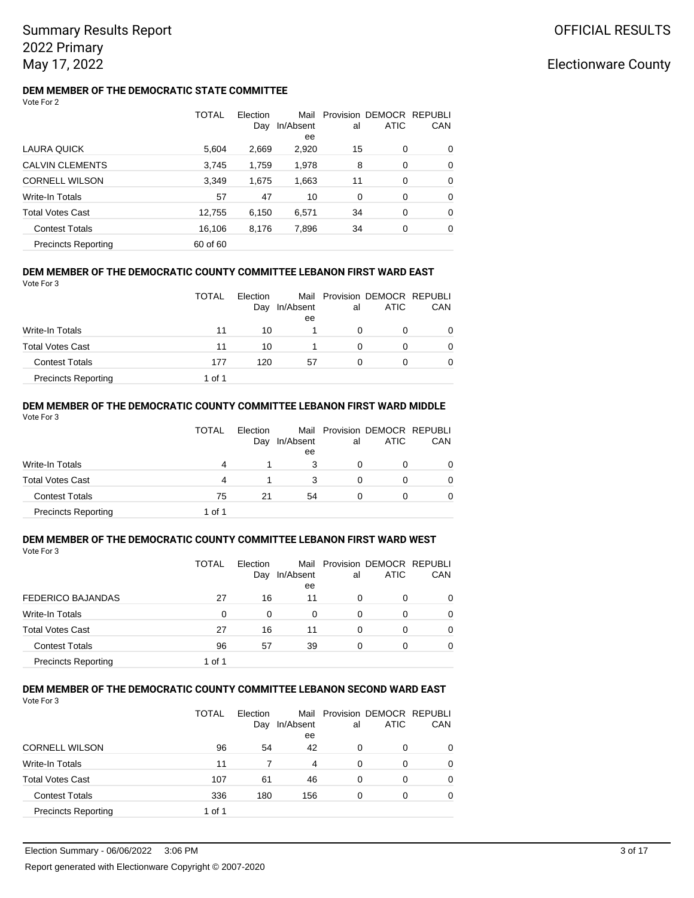### **DEM MEMBER OF THE DEMOCRATIC STATE COMMITTEE** Vote For 2

|                            | <b>TOTAL</b> | Election<br>Day | Mail<br>In/Absent<br>ee | al | Provision DEMOCR REPUBLI<br>ATIC | CAN         |
|----------------------------|--------------|-----------------|-------------------------|----|----------------------------------|-------------|
| LAURA QUICK                | 5,604        | 2,669           | 2,920                   | 15 | 0                                | 0           |
| <b>CALVIN CLEMENTS</b>     | 3,745        | 1,759           | 1,978                   | 8  | 0                                | 0           |
| <b>CORNELL WILSON</b>      | 3,349        | 1,675           | 1,663                   | 11 | 0                                | 0           |
| <b>Write-In Totals</b>     | 57           | 47              | 10                      | 0  | 0                                | 0           |
| <b>Total Votes Cast</b>    | 12,755       | 6,150           | 6,571                   | 34 | 0                                | $\mathbf 0$ |
| <b>Contest Totals</b>      | 16,106       | 8,176           | 7,896                   | 34 | 0                                | 0           |
| <b>Precincts Reporting</b> | 60 of 60     |                 |                         |    |                                  |             |

#### **DEM MEMBER OF THE DEMOCRATIC COUNTY COMMITTEE LEBANON FIRST WARD EAST** Vote For 3

| 1 U L U L U L U            | <b>TOTAL</b> | Election<br>Day | In/Absent<br>ee | al | Mail Provision DEMOCR REPUBLI<br>ATIC | CAN      |
|----------------------------|--------------|-----------------|-----------------|----|---------------------------------------|----------|
| Write-In Totals            | 11           | 10              |                 | 0  | 0                                     | $\Omega$ |
| <b>Total Votes Cast</b>    | 11           | 10              |                 | 0  | 0                                     | $\Omega$ |
| <b>Contest Totals</b>      | 177          | 120             | 57              | 0  | 0                                     | $\Omega$ |
| <b>Precincts Reporting</b> | 1 of 1       |                 |                 |    |                                       |          |

### **DEM MEMBER OF THE DEMOCRATIC COUNTY COMMITTEE LEBANON FIRST WARD MIDDLE** Vote For 3

|                            | <b>TOTAL</b> | <b>Flection</b><br>Day | In/Absent<br>ee | Mail Provision DEMOCR REPUBLI<br>al | ATIC | CAN      |
|----------------------------|--------------|------------------------|-----------------|-------------------------------------|------|----------|
| Write-In Totals            | 4            |                        | 3               | 0                                   |      | 0        |
| <b>Total Votes Cast</b>    | 4            |                        | 3               | 0                                   | O    | 0        |
| <b>Contest Totals</b>      | 75           | 21                     | 54              | 0                                   | 0    | $\Omega$ |
| <b>Precincts Reporting</b> | 1 of 1       |                        |                 |                                     |      |          |

### **DEM MEMBER OF THE DEMOCRATIC COUNTY COMMITTEE LEBANON FIRST WARD WEST**

Vote For 3

|                            | TOTAL  | Election<br>Dav | In/Absent<br>ee | al | Mail Provision DEMOCR REPUBLI<br><b>ATIC</b> | CAN |
|----------------------------|--------|-----------------|-----------------|----|----------------------------------------------|-----|
| <b>FEDERICO BAJANDAS</b>   | 27     | 16              | 11              | 0  | $\Omega$                                     | 0   |
| Write-In Totals            | 0      | 0               | 0               | 0  | 0                                            | 0   |
| <b>Total Votes Cast</b>    | 27     | 16              | 11              | 0  | 0                                            | 0   |
| <b>Contest Totals</b>      | 96     | 57              | 39              | 0  | 0                                            | 0   |
| <b>Precincts Reporting</b> | 1 of 1 |                 |                 |    |                                              |     |

## **DEM MEMBER OF THE DEMOCRATIC COUNTY COMMITTEE LEBANON SECOND WARD EAST**

|                            | TOTAL  | Election<br>Day | In/Absent<br>ee | al | Mail Provision DEMOCR REPUBLI<br><b>ATIC</b> | CAN      |
|----------------------------|--------|-----------------|-----------------|----|----------------------------------------------|----------|
| <b>CORNELL WILSON</b>      | 96     | 54              | 42              | 0  | 0                                            | 0        |
| <b>Write-In Totals</b>     | 11     |                 | 4               | 0  | 0                                            | 0        |
| <b>Total Votes Cast</b>    | 107    | 61              | 46              | 0  | 0                                            | 0        |
| <b>Contest Totals</b>      | 336    | 180             | 156             | 0  | 0                                            | $\Omega$ |
| <b>Precincts Reporting</b> | 1 of 1 |                 |                 |    |                                              |          |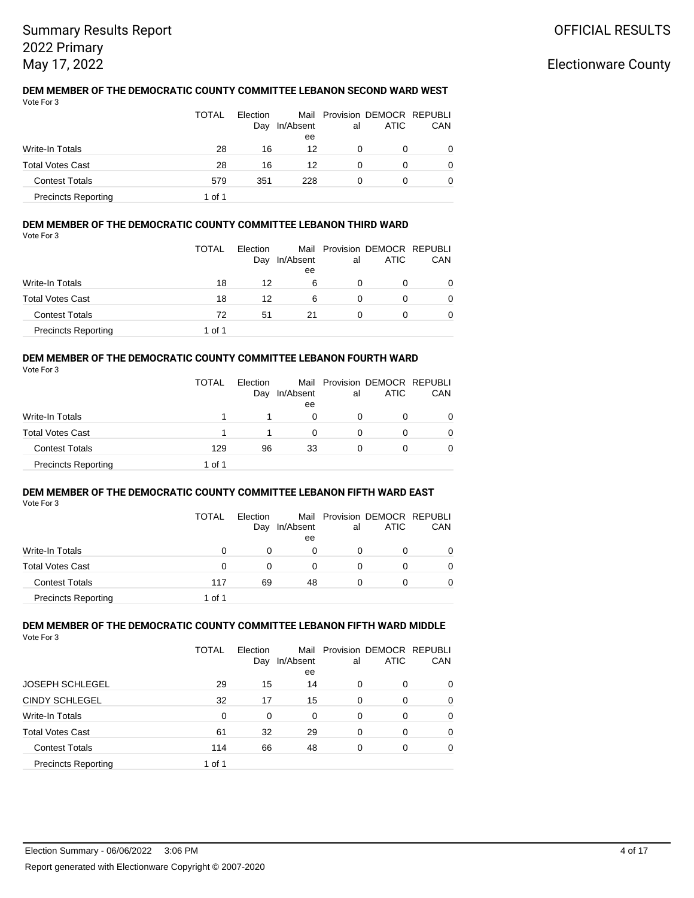### **DEM MEMBER OF THE DEMOCRATIC COUNTY COMMITTEE LEBANON SECOND WARD WEST** Vote For 3

|                            | <b>TOTAL</b> | Election<br>Day | In/Absent<br>ee | al | Mail Provision DEMOCR REPUBLI<br>ATIC | CAN      |
|----------------------------|--------------|-----------------|-----------------|----|---------------------------------------|----------|
| <b>Write-In Totals</b>     | 28           | 16              | 12              |    | 0                                     | 0        |
| <b>Total Votes Cast</b>    | 28           | 16              | 12              | 0  | 0                                     | $\Omega$ |
| <b>Contest Totals</b>      | 579          | 351             | 228             |    | 0                                     | 0        |
| <b>Precincts Reporting</b> | 1 of 1       |                 |                 |    |                                       |          |

## **DEM MEMBER OF THE DEMOCRATIC COUNTY COMMITTEE LEBANON THIRD WARD**

| Vote For 3 |  |  |
|------------|--|--|
|            |  |  |

|                            | <b>TOTAL</b> | <b>Flection</b><br>Day | In/Absent<br>ee | al | Mail Provision DEMOCR REPUBLI<br>ATIC | CAN      |
|----------------------------|--------------|------------------------|-----------------|----|---------------------------------------|----------|
| Write-In Totals            | 18           | 12                     | 6               | 0  | O                                     | 0        |
| <b>Total Votes Cast</b>    | 18           | 12                     | 6               | 0  |                                       | $\Omega$ |
| <b>Contest Totals</b>      | 72           | 51                     | 21              | 0  |                                       | $\Omega$ |
| <b>Precincts Reporting</b> | 1 of 1       |                        |                 |    |                                       |          |

### **DEM MEMBER OF THE DEMOCRATIC COUNTY COMMITTEE LEBANON FOURTH WARD** Vote For 3

|                            | TOTAL  | Election<br>Day | In/Absent<br>ee | al | Mail Provision DEMOCR REPUBLI<br>ATIC | CAN      |
|----------------------------|--------|-----------------|-----------------|----|---------------------------------------|----------|
| Write-In Totals            |        |                 | 0               |    |                                       | $\Omega$ |
| <b>Total Votes Cast</b>    |        |                 | 0               |    |                                       | 0        |
| <b>Contest Totals</b>      | 129    | 96              | 33              |    | 0                                     | 0        |
| <b>Precincts Reporting</b> | 1 of 1 |                 |                 |    |                                       |          |

#### **DEM MEMBER OF THE DEMOCRATIC COUNTY COMMITTEE LEBANON FIFTH WARD EAST** Vote For 3

| .                          | <b>TOTAL</b> | Election<br>Day | In/Absent<br>ee | al | Mail Provision DEMOCR REPUBLI<br>ATIC | CAN |
|----------------------------|--------------|-----------------|-----------------|----|---------------------------------------|-----|
| Write-In Totals            | 0            |                 | 0               | 0  |                                       | 0   |
| <b>Total Votes Cast</b>    | <sup>0</sup> |                 | 0               | 0  |                                       | 0   |
| <b>Contest Totals</b>      | 117          | 69              | 48              | 0  |                                       | 0   |
| <b>Precincts Reporting</b> | 1 of 1       |                 |                 |    |                                       |     |

## **DEM MEMBER OF THE DEMOCRATIC COUNTY COMMITTEE LEBANON FIFTH WARD MIDDLE**

| Vote For 3                 |        |          |           |          |                          |            |
|----------------------------|--------|----------|-----------|----------|--------------------------|------------|
|                            | TOTAL  | Election | Mail      |          | Provision DEMOCR REPUBLI |            |
|                            |        | Day      | In/Absent | al       | <b>ATIC</b>              | <b>CAN</b> |
|                            |        |          | ee        |          |                          |            |
| <b>JOSEPH SCHLEGEL</b>     | 29     | 15       | 14        | 0        | 0                        | $\Omega$   |
| <b>CINDY SCHLEGEL</b>      | 32     | 17       | 15        | 0        | 0                        | $\Omega$   |
| Write-In Totals            | 0      | $\Omega$ | $\Omega$  | $\Omega$ | 0                        | $\Omega$   |
| <b>Total Votes Cast</b>    | 61     | 32       | 29        | 0        | $\Omega$                 | $\Omega$   |
| <b>Contest Totals</b>      | 114    | 66       | 48        | 0        | 0                        | $\Omega$   |
| <b>Precincts Reporting</b> | 1 of 1 |          |           |          |                          |            |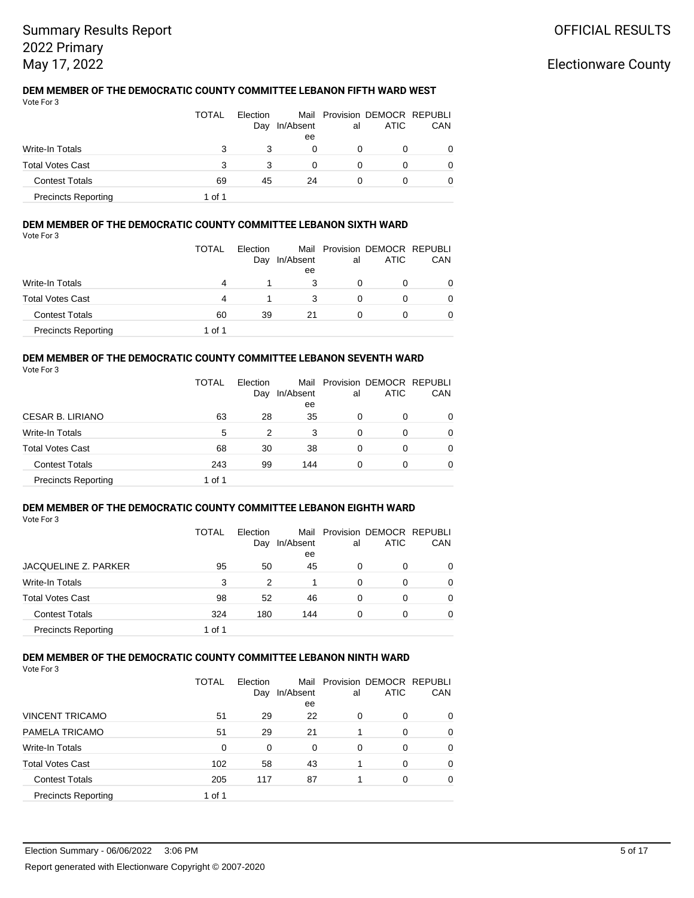### **DEM MEMBER OF THE DEMOCRATIC COUNTY COMMITTEE LEBANON FIFTH WARD WEST** Vote For 3

|                            | <b>TOTAL</b> | Election<br>Day | In/Absent<br>ee | al | Mail Provision DEMOCR REPUBLI<br>ATIC | CAN |
|----------------------------|--------------|-----------------|-----------------|----|---------------------------------------|-----|
| <b>Write-In Totals</b>     | 3            | 3               | 0               | 0  | 0                                     | 0   |
| <b>Total Votes Cast</b>    | 3            | 3               | 0               |    |                                       | 0   |
| <b>Contest Totals</b>      | 69           | 45              | 24              |    |                                       | 0   |
| <b>Precincts Reporting</b> | 1 of 1       |                 |                 |    |                                       |     |

## **DEM MEMBER OF THE DEMOCRATIC COUNTY COMMITTEE LEBANON SIXTH WARD**

| Vote For 3 |  |  |
|------------|--|--|
|            |  |  |

|                            | <b>TOTAL</b> | Election<br>Day | In/Absent<br>ee | al | Mail Provision DEMOCR REPUBLI<br>ATIC | CAN |
|----------------------------|--------------|-----------------|-----------------|----|---------------------------------------|-----|
| <b>Write-In Totals</b>     | 4            |                 | 3               | 0  |                                       | 0   |
| <b>Total Votes Cast</b>    | 4            |                 |                 |    |                                       | 0   |
| <b>Contest Totals</b>      | 60           | 39              | 21              |    |                                       | 0   |
| <b>Precincts Reporting</b> | 1 of 1       |                 |                 |    |                                       |     |

### **DEM MEMBER OF THE DEMOCRATIC COUNTY COMMITTEE LEBANON SEVENTH WARD** Vote For 3

|                            | TOTAL  | Flection<br>Day | In/Absent<br>ee | al | Mail Provision DEMOCR REPUBLI<br>ATIC | CAN      |
|----------------------------|--------|-----------------|-----------------|----|---------------------------------------|----------|
| CESAR B. LIRIANO           | 63     | 28              | 35              | 0  | 0                                     | 0        |
| Write-In Totals            | 5      | 2               | 3               | 0  | 0                                     | $\Omega$ |
| <b>Total Votes Cast</b>    | 68     | 30              | 38              | 0  | 0                                     | $\Omega$ |
| <b>Contest Totals</b>      | 243    | 99              | 144             | 0  | 0                                     | 0        |
| <b>Precincts Reporting</b> | 1 of 1 |                 |                 |    |                                       |          |

#### **DEM MEMBER OF THE DEMOCRATIC COUNTY COMMITTEE LEBANON EIGHTH WARD** Vote For 3

|                            | <b>TOTAL</b> | Election<br>Day | In/Absent<br>ee | al       | Mail Provision DEMOCR REPUBLI<br>ATIC | CAN      |
|----------------------------|--------------|-----------------|-----------------|----------|---------------------------------------|----------|
| JACQUELINE Z. PARKER       | 95           | 50              | 45              | 0        |                                       | 0        |
| Write-In Totals            | 3            | 2               |                 | $\Omega$ | 0                                     | $\Omega$ |
| <b>Total Votes Cast</b>    | 98           | 52              | 46              | 0        | 0                                     | 0        |
| <b>Contest Totals</b>      | 324          | 180             | 144             | 0        |                                       | 0        |
| <b>Precincts Reporting</b> | 1 of 1       |                 |                 |          |                                       |          |

#### **DEM MEMBER OF THE DEMOCRATIC COUNTY COMMITTEE LEBANON NINTH WARD** Vote For 3

|                            | TOTAL  | Election<br>Day | Mail<br>In/Absent<br>ee | al       | Provision DEMOCR REPUBLI<br>ATIC | <b>CAN</b> |
|----------------------------|--------|-----------------|-------------------------|----------|----------------------------------|------------|
| <b>VINCENT TRICAMO</b>     | 51     | 29              | 22                      | $\Omega$ | 0                                | $\Omega$   |
| PAMELA TRICAMO             | 51     | 29              | 21                      |          | 0                                | $\Omega$   |
| Write-In Totals            | 0      | $\Omega$        | 0                       | 0        | 0                                | $\Omega$   |
| <b>Total Votes Cast</b>    | 102    | 58              | 43                      |          | $\Omega$                         | $\Omega$   |
| <b>Contest Totals</b>      | 205    | 117             | 87                      |          | 0                                | $\Omega$   |
| <b>Precincts Reporting</b> | 1 of 1 |                 |                         |          |                                  |            |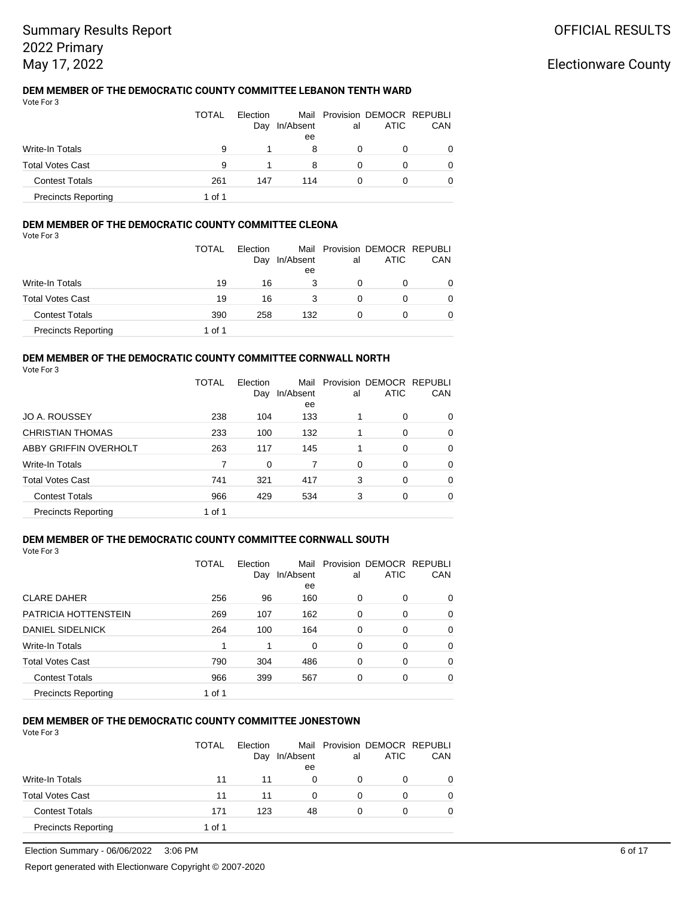### **DEM MEMBER OF THE DEMOCRATIC COUNTY COMMITTEE LEBANON TENTH WARD** Vote For 3

|                            | <b>TOTAL</b> | Election<br>Day | In/Absent<br>ee | al | Mail Provision DEMOCR REPUBLI<br>ATIC | CAN      |
|----------------------------|--------------|-----------------|-----------------|----|---------------------------------------|----------|
| Write-In Totals            | 9            |                 | 8               | O  |                                       | $\Omega$ |
| <b>Total Votes Cast</b>    | 9            |                 | 8               | Ω  |                                       | 0        |
| <b>Contest Totals</b>      | 261          | 147             | 114             |    |                                       | 0        |
| <b>Precincts Reporting</b> | 1 of 1       |                 |                 |    |                                       |          |

## **DEM MEMBER OF THE DEMOCRATIC COUNTY COMMITTEE CLEONA**

Vote For 3

|                            | <b>TOTAL</b> | Election<br>Day | In/Absent<br>ee | al | Mail Provision DEMOCR REPUBLI<br>ATIC | CAN |
|----------------------------|--------------|-----------------|-----------------|----|---------------------------------------|-----|
| Write-In Totals            | 19           | 16              |                 | 0  | O                                     | 0   |
| <b>Total Votes Cast</b>    | 19           | 16              |                 | 0  |                                       | 0   |
| <b>Contest Totals</b>      | 390          | 258             | 132             | 0  |                                       | 0   |
| <b>Precincts Reporting</b> | 1 of 1       |                 |                 |    |                                       |     |

## **DEM MEMBER OF THE DEMOCRATIC COUNTY COMMITTEE CORNWALL NORTH**

Vote For 3

|                            | TOTAL  | Election<br>Day | In/Absent | al | Mail Provision DEMOCR REPUBLI<br><b>ATIC</b> | CAN |
|----------------------------|--------|-----------------|-----------|----|----------------------------------------------|-----|
| JO A. ROUSSEY              | 238    | 104             | ee<br>133 | 1  | 0                                            | 0   |
| <b>CHRISTIAN THOMAS</b>    | 233    | 100             | 132       |    | 0                                            | 0   |
| ABBY GRIFFIN OVERHOLT      | 263    | 117             | 145       |    | 0                                            | 0   |
| Write-In Totals            | 7      | 0               | 7         | 0  | 0                                            | 0   |
| <b>Total Votes Cast</b>    | 741    | 321             | 417       | 3  | 0                                            | 0   |
| <b>Contest Totals</b>      | 966    | 429             | 534       | 3  | 0                                            | 0   |
| <b>Precincts Reporting</b> | 1 of 1 |                 |           |    |                                              |     |

## **DEM MEMBER OF THE DEMOCRATIC COUNTY COMMITTEE CORNWALL SOUTH**

Vote For 3

|                            | TOTAL  | Election<br>Day | Mail<br>In/Absent<br>ee | al | Provision DEMOCR REPUBLI<br><b>ATIC</b> | CAN |
|----------------------------|--------|-----------------|-------------------------|----|-----------------------------------------|-----|
| <b>CLARE DAHER</b>         | 256    | 96              | 160                     | 0  | 0                                       | 0   |
| PATRICIA HOTTENSTEIN       | 269    | 107             | 162                     | 0  | 0                                       | 0   |
| <b>DANIEL SIDELNICK</b>    | 264    | 100             | 164                     | 0  | 0                                       | 0   |
| Write-In Totals            | 1      | 1               | 0                       | 0  | 0                                       | 0   |
| <b>Total Votes Cast</b>    | 790    | 304             | 486                     | 0  | 0                                       | 0   |
| <b>Contest Totals</b>      | 966    | 399             | 567                     | 0  | 0                                       | 0   |
| <b>Precincts Reporting</b> | 1 of 1 |                 |                         |    |                                         |     |

### **DEM MEMBER OF THE DEMOCRATIC COUNTY COMMITTEE JONESTOWN**

Vote For 3

|                            | <b>TOTAL</b> | Flection<br>Day | In/Absent<br>ee | al | Mail Provision DEMOCR REPUBLI<br>ATIC | CAN      |
|----------------------------|--------------|-----------------|-----------------|----|---------------------------------------|----------|
| Write-In Totals            | 11           | 11              | $\Omega$        | 0  |                                       | $\Omega$ |
| <b>Total Votes Cast</b>    | 11           | 11              | $\Omega$        | 0  |                                       | $\Omega$ |
| <b>Contest Totals</b>      | 171          | 123             | 48              | 0  |                                       | 0        |
| <b>Precincts Reporting</b> | 1 of 1       |                 |                 |    |                                       |          |

Election Summary - 06/06/2022 3:06 PM 6 of 17

Report generated with Electionware Copyright © 2007-2020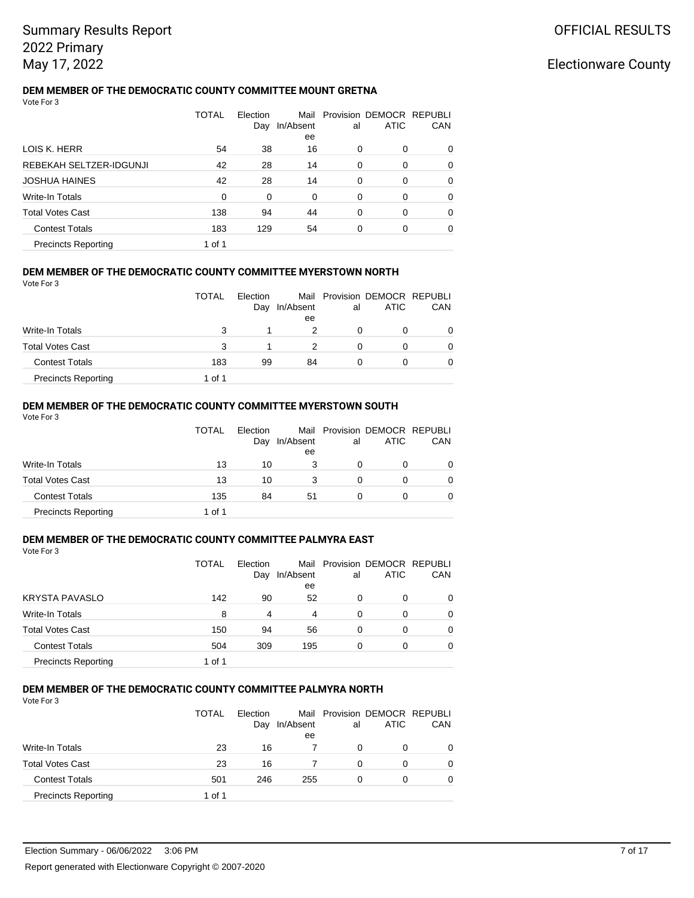# OFFICIAL RESULTS

## Electionware County

### **DEM MEMBER OF THE DEMOCRATIC COUNTY COMMITTEE MOUNT GRETNA** Vote For 3

|                            | TOTAL  | Election<br>Day | Mail<br>In/Absent<br>ee | al | Provision DEMOCR REPUBLI<br><b>ATIC</b> | <b>CAN</b> |
|----------------------------|--------|-----------------|-------------------------|----|-----------------------------------------|------------|
| LOIS K. HERR               | 54     | 38              | 16                      | 0  | 0                                       | 0          |
| REBEKAH SELTZER-IDGUNJI    | 42     | 28              | 14                      | 0  | $\Omega$                                | 0          |
| <b>JOSHUA HAINES</b>       | 42     | 28              | 14                      | 0  | $\Omega$                                | 0          |
| Write-In Totals            | 0      | 0               | 0                       | 0  | 0                                       | 0          |
| <b>Total Votes Cast</b>    | 138    | 94              | 44                      | 0  | $\Omega$                                | 0          |
| <b>Contest Totals</b>      | 183    | 129             | 54                      | 0  | $\Omega$                                | 0          |
| <b>Precincts Reporting</b> | 1 of 1 |                 |                         |    |                                         |            |

#### **DEM MEMBER OF THE DEMOCRATIC COUNTY COMMITTEE MYERSTOWN NORTH** Vote For 3

| , , , , , , , , , ,        | <b>TOTAL</b> | Election<br>Day | In/Absent     | al | Mail Provision DEMOCR REPUBLI<br>ATIC | <b>CAN</b> |
|----------------------------|--------------|-----------------|---------------|----|---------------------------------------|------------|
| Write-In Totals            | 3            |                 | ee<br>2       | 0  | 0                                     | 0          |
| <b>Total Votes Cast</b>    | 3            |                 | $\mathcal{P}$ | 0  | 0                                     | 0          |
| <b>Contest Totals</b>      | 183          | 99              | 84            | 0  | 0                                     | 0          |
| <b>Precincts Reporting</b> | 1 of 1       |                 |               |    |                                       |            |

## **DEM MEMBER OF THE DEMOCRATIC COUNTY COMMITTEE MYERSTOWN SOUTH**

|                            | <b>TOTAL</b> | Election<br>Day | In/Absent<br>ee | al | Mail Provision DEMOCR REPUBLI<br>ATIC | CAN      |
|----------------------------|--------------|-----------------|-----------------|----|---------------------------------------|----------|
| Write-In Totals            | 13           | 10              | 3               | 0  | 0                                     | $\Omega$ |
| <b>Total Votes Cast</b>    | 13           | 10              | 3               | 0  | 0                                     | $\Omega$ |
| <b>Contest Totals</b>      | 135          | 84              | 51              | 0  | 0                                     | 0        |
| <b>Precincts Reporting</b> | 1 of 1       |                 |                 |    |                                       |          |

## **DEM MEMBER OF THE DEMOCRATIC COUNTY COMMITTEE PALMYRA EAST**

Vote For 3

|                            | TOTAL  | Election<br>Day | In/Absent<br>ee | al       | Mail Provision DEMOCR REPUBLI<br><b>ATIC</b> | CAN      |
|----------------------------|--------|-----------------|-----------------|----------|----------------------------------------------|----------|
| <b>KRYSTA PAVASLO</b>      | 142    | 90              | 52              | 0        | 0                                            | 0        |
| Write-In Totals            | 8      | 4               | 4               | 0        | 0                                            | $\Omega$ |
| <b>Total Votes Cast</b>    | 150    | 94              | 56              | 0        | 0                                            | 0        |
| <b>Contest Totals</b>      | 504    | 309             | 195             | $\Omega$ | 0                                            | $\Omega$ |
| <b>Precincts Reporting</b> | 1 of 1 |                 |                 |          |                                              |          |

## **DEM MEMBER OF THE DEMOCRATIC COUNTY COMMITTEE PALMYRA NORTH**

|                            | <b>TOTAL</b> | Election<br>Day | In/Absent<br>ee | al | Mail Provision DEMOCR REPUBLI<br>ATIC | CAN      |
|----------------------------|--------------|-----------------|-----------------|----|---------------------------------------|----------|
| Write-In Totals            | 23           | 16              |                 | 0  | 0                                     | 0        |
| <b>Total Votes Cast</b>    | 23           | 16              |                 | 0  | 0                                     | $\Omega$ |
| <b>Contest Totals</b>      | 501          | 246             | 255             |    | 0                                     | $\Omega$ |
| <b>Precincts Reporting</b> | 1 of 1       |                 |                 |    |                                       |          |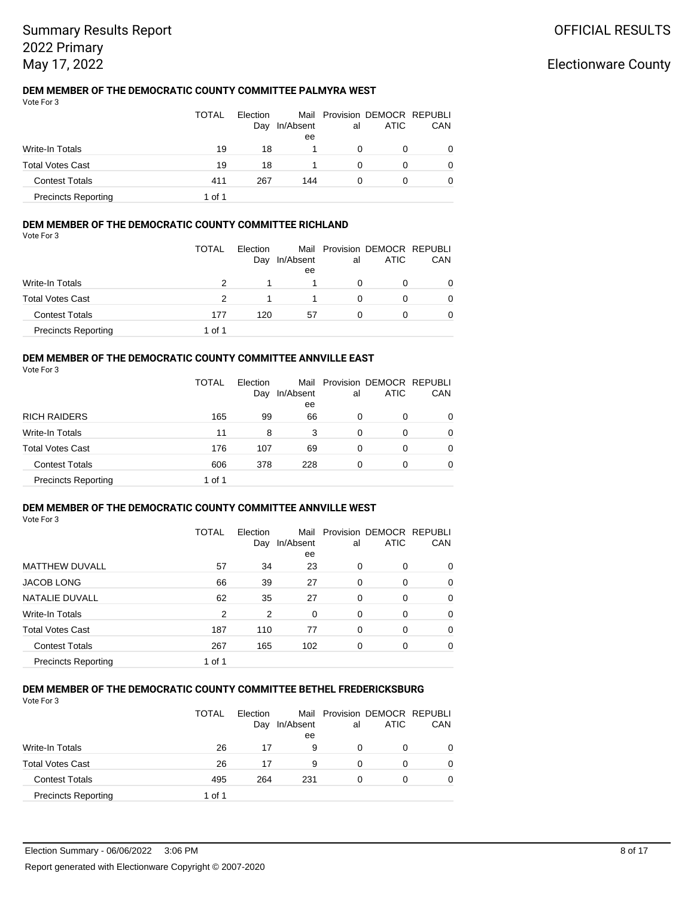### **DEM MEMBER OF THE DEMOCRATIC COUNTY COMMITTEE PALMYRA WEST** Vote For 3

|                            | <b>TOTAL</b> | Election<br>Day | In/Absent<br>ee | al | Mail Provision DEMOCR REPUBLI<br>ATIC | CAN |
|----------------------------|--------------|-----------------|-----------------|----|---------------------------------------|-----|
| <b>Write-In Totals</b>     | 19           | 18              |                 |    | O                                     | 0   |
| <b>Total Votes Cast</b>    | 19           | 18              |                 |    | 0                                     | 0   |
| <b>Contest Totals</b>      | 411          | 267             | 144             |    |                                       | 0   |
| <b>Precincts Reporting</b> | 1 of 1       |                 |                 |    |                                       |     |

## **DEM MEMBER OF THE DEMOCRATIC COUNTY COMMITTEE RICHLAND**

Vote For 3

|                            | <b>TOTAL</b> | Election<br>Day | In/Absent<br>ee | al | Mail Provision DEMOCR REPUBLI<br>ATIC | CAN      |
|----------------------------|--------------|-----------------|-----------------|----|---------------------------------------|----------|
| Write-In Totals            |              |                 |                 |    |                                       | $\Omega$ |
| <b>Total Votes Cast</b>    |              |                 |                 |    |                                       | $\Omega$ |
| <b>Contest Totals</b>      | 177          | 120             | 57              |    |                                       | 0        |
| <b>Precincts Reporting</b> | 1 of 1       |                 |                 |    |                                       |          |

## **DEM MEMBER OF THE DEMOCRATIC COUNTY COMMITTEE ANNVILLE EAST**

| Vote For 3 |  |  |
|------------|--|--|
|------------|--|--|

|                            | TOTAL  | Election<br>Day | In/Absent<br>ee | al | Mail Provision DEMOCR REPUBLI<br><b>ATIC</b> | CAN         |
|----------------------------|--------|-----------------|-----------------|----|----------------------------------------------|-------------|
| <b>RICH RAIDERS</b>        | 165    | 99              | 66              | 0  | 0                                            | $\mathbf 0$ |
| <b>Write-In Totals</b>     | 11     | 8               | 3               | 0  | 0                                            | 0           |
| <b>Total Votes Cast</b>    | 176    | 107             | 69              | 0  | 0                                            | 0           |
| <b>Contest Totals</b>      | 606    | 378             | 228             | 0  | 0                                            | 0           |
| <b>Precincts Reporting</b> | 1 of 1 |                 |                 |    |                                              |             |

#### **DEM MEMBER OF THE DEMOCRATIC COUNTY COMMITTEE ANNVILLE WEST** Vote For 3

| 1 U L U L U L U            |        |                 |                         |    |                                         |             |
|----------------------------|--------|-----------------|-------------------------|----|-----------------------------------------|-------------|
|                            | TOTAL  | Election<br>Day | Mail<br>In/Absent<br>ee | al | Provision DEMOCR REPUBLI<br><b>ATIC</b> | CAN         |
| <b>MATTHEW DUVALL</b>      | 57     | 34              | 23                      | 0  | $\Omega$                                | 0           |
| <b>JACOB LONG</b>          | 66     | 39              | 27                      | 0  | $\Omega$                                | 0           |
| NATALIE DUVALL             | 62     | 35              | 27                      | 0  | $\Omega$                                | 0           |
| <b>Write-In Totals</b>     | 2      | 2               | 0                       | 0  | $\Omega$                                | $\mathbf 0$ |
| <b>Total Votes Cast</b>    | 187    | 110             | 77                      | 0  | $\Omega$                                | 0           |
| <b>Contest Totals</b>      | 267    | 165             | 102                     | 0  | 0                                       | 0           |
| <b>Precincts Reporting</b> | 1 of 1 |                 |                         |    |                                         |             |

### **DEM MEMBER OF THE DEMOCRATIC COUNTY COMMITTEE BETHEL FREDERICKSBURG**

|                            | <b>TOTAL</b> | Election | Day In/Absent<br>ee | al | Mail Provision DEMOCR REPUBLI<br>ATIC | CAN      |
|----------------------------|--------------|----------|---------------------|----|---------------------------------------|----------|
| Write-In Totals            | 26           | 17       | 9                   | 0  | 0                                     | 0        |
| <b>Total Votes Cast</b>    | 26           | 17       | 9                   | Ω  | 0                                     | $\Omega$ |
| <b>Contest Totals</b>      | 495          | 264      | 231                 | Ω  | 0                                     | $\Omega$ |
| <b>Precincts Reporting</b> | 1 of 1       |          |                     |    |                                       |          |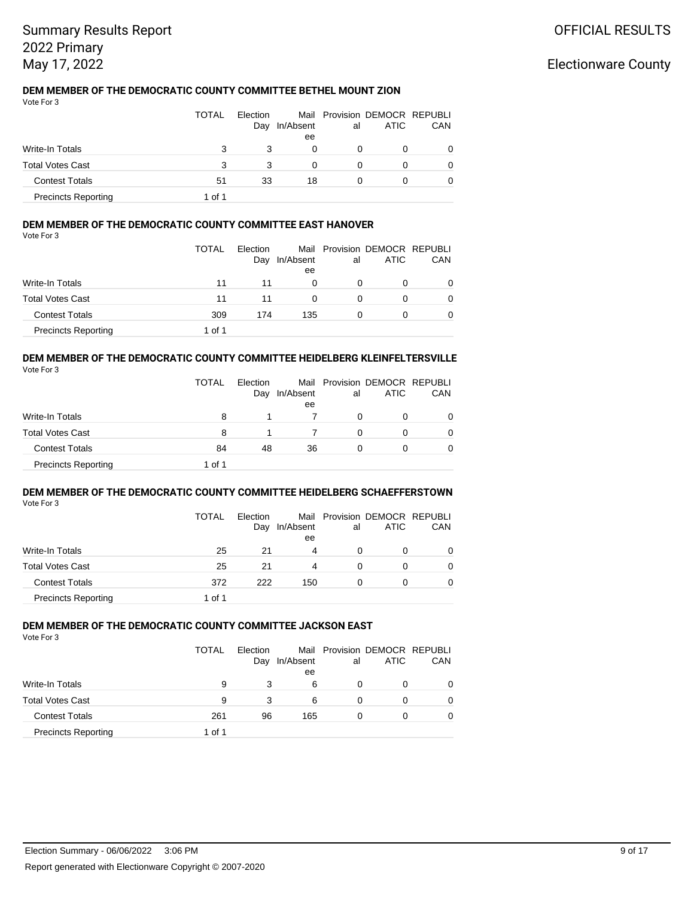### **DEM MEMBER OF THE DEMOCRATIC COUNTY COMMITTEE BETHEL MOUNT ZION** Vote For 3

|                            | <b>TOTAL</b> | Election<br>Day | In/Absent<br>ee | al | Mail Provision DEMOCR REPUBLI<br>ATIC | CAN      |
|----------------------------|--------------|-----------------|-----------------|----|---------------------------------------|----------|
| Write-In Totals            | 3            | 3               | 0               |    | 0                                     | 0        |
| <b>Total Votes Cast</b>    | 3            | 3               | 0               |    |                                       | $\Omega$ |
| <b>Contest Totals</b>      | 51           | 33              | 18              |    |                                       | $\Omega$ |
| <b>Precincts Reporting</b> | 1 of 1       |                 |                 |    |                                       |          |

## **DEM MEMBER OF THE DEMOCRATIC COUNTY COMMITTEE EAST HANOVER**

Vote For 3

|                            | <b>TOTAL</b> | Election | Day In/Absent<br>ee | al | Mail Provision DEMOCR REPUBLI<br>ATIC | CAN         |
|----------------------------|--------------|----------|---------------------|----|---------------------------------------|-------------|
| Write-In Totals            | 11           | 11       | 0                   |    | 0                                     | 0           |
| <b>Total Votes Cast</b>    | 11           | 11       | O                   |    | O                                     | 0           |
| <b>Contest Totals</b>      | 309          | 174      | 135                 |    | O                                     | $\mathbf 0$ |
| <b>Precincts Reporting</b> | 1 of 1       |          |                     |    |                                       |             |

### **DEM MEMBER OF THE DEMOCRATIC COUNTY COMMITTEE HEIDELBERG KLEINFELTERSVILLE** Vote For 3

|                            | <b>TOTAL</b> | Election<br>Day | In/Absent<br>ee | al | Mail Provision DEMOCR REPUBLI<br>ATIC | CAN      |
|----------------------------|--------------|-----------------|-----------------|----|---------------------------------------|----------|
| Write-In Totals            | 8            |                 |                 | 0  |                                       | 0        |
| <b>Total Votes Cast</b>    | 8            |                 |                 | 0  |                                       | $\Omega$ |
| <b>Contest Totals</b>      | 84           | 48              | 36              | O  |                                       | 0        |
| <b>Precincts Reporting</b> | 1 of 1       |                 |                 |    |                                       |          |

#### **DEM MEMBER OF THE DEMOCRATIC COUNTY COMMITTEE HEIDELBERG SCHAEFFERSTOWN** Vote For 3

|                            | <b>TOTAL</b> | Election<br>Day | In/Absent<br>ee | al | Mail Provision DEMOCR REPUBLI<br>ATIC | CAN |
|----------------------------|--------------|-----------------|-----------------|----|---------------------------------------|-----|
| Write-In Totals            | 25           | 21              | 4               | 0  |                                       | 0   |
| <b>Total Votes Cast</b>    | 25           | 21              | 4               | 0  |                                       | 0   |
| <b>Contest Totals</b>      | 372          | 222             | 150             | 0  |                                       | 0   |
| <b>Precincts Reporting</b> | 1 of 1       |                 |                 |    |                                       |     |

### **DEM MEMBER OF THE DEMOCRATIC COUNTY COMMITTEE JACKSON EAST**

| Vote For 3                 |              |                 |           |    |                                       |            |
|----------------------------|--------------|-----------------|-----------|----|---------------------------------------|------------|
|                            | <b>TOTAL</b> | Election<br>Day | In/Absent | al | Mail Provision DEMOCR REPUBLI<br>ATIC | <b>CAN</b> |
|                            |              |                 | ee        |    |                                       |            |
| <b>Write-In Totals</b>     | 9            | 3               | 6         | 0  | 0                                     | 0          |
| <b>Total Votes Cast</b>    | 9            | 3               | 6         | 0  | 0                                     | 0          |
| <b>Contest Totals</b>      | 261          | 96              | 165       | 0  | 0                                     | 0          |
| <b>Precincts Reporting</b> | 1 of 1       |                 |           |    |                                       |            |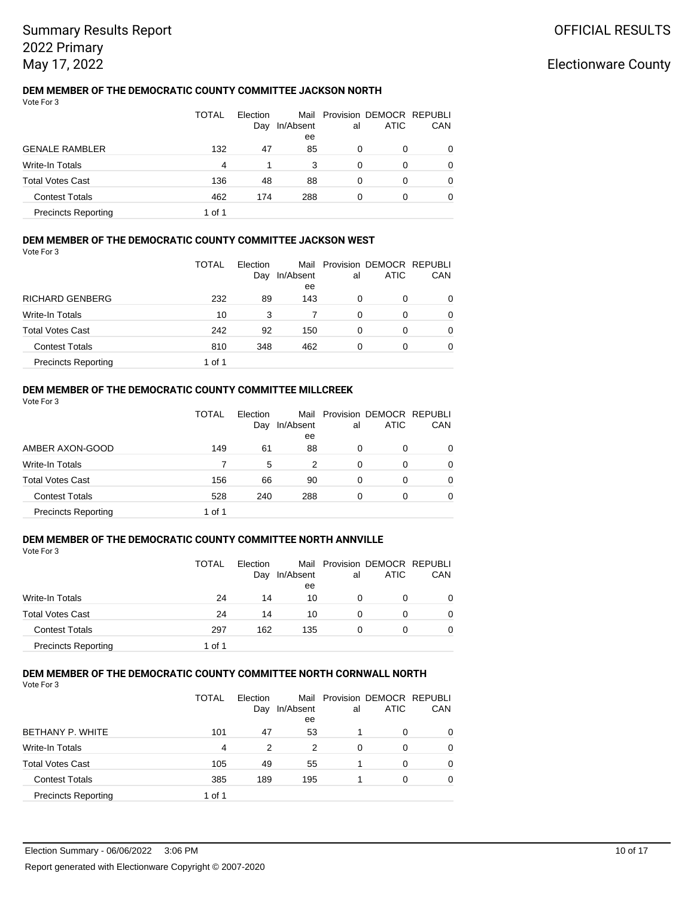### **DEM MEMBER OF THE DEMOCRATIC COUNTY COMMITTEE JACKSON NORTH** Vote For 3

|                            | TOTAL          | Election<br>Day | In/Absent<br>ee | al | Mail Provision DEMOCR REPUBLI<br><b>ATIC</b> | CAN      |
|----------------------------|----------------|-----------------|-----------------|----|----------------------------------------------|----------|
| <b>GENALE RAMBLER</b>      | 132            | 47              | 85              | 0  | 0                                            | $\Omega$ |
| Write-In Totals            | $\overline{4}$ |                 | 3               | 0  | 0                                            | $\Omega$ |
| <b>Total Votes Cast</b>    | 136            | 48              | 88              | 0  | 0                                            | $\Omega$ |
| <b>Contest Totals</b>      | 462            | 174             | 288             | 0  | 0                                            | $\Omega$ |
| <b>Precincts Reporting</b> | 1 of 1         |                 |                 |    |                                              |          |

### **DEM MEMBER OF THE DEMOCRATIC COUNTY COMMITTEE JACKSON WEST**

Vote For 3

|                            | TOTAL  | Election<br>Day | In/Absent<br>ee | al | Mail Provision DEMOCR REPUBLI<br>ATIC | CAN      |
|----------------------------|--------|-----------------|-----------------|----|---------------------------------------|----------|
| <b>RICHARD GENBERG</b>     | 232    | 89              | 143             | 0  | 0                                     | 0        |
| Write-In Totals            | 10     | 3               |                 | 0  | 0                                     | 0        |
| <b>Total Votes Cast</b>    | 242    | 92              | 150             | 0  | 0                                     | $\Omega$ |
| <b>Contest Totals</b>      | 810    | 348             | 462             | 0  | 0                                     | $\Omega$ |
| <b>Precincts Reporting</b> | 1 of 1 |                 |                 |    |                                       |          |

### **DEM MEMBER OF THE DEMOCRATIC COUNTY COMMITTEE MILLCREEK**

Vote For 3

|                            | TOTAL  | Election<br>Day | Mail<br>In/Absent<br>ee | al | Provision DEMOCR REPUBLI<br><b>ATIC</b> | CAN      |
|----------------------------|--------|-----------------|-------------------------|----|-----------------------------------------|----------|
| AMBER AXON-GOOD            | 149    | 61              | 88                      | 0  | 0                                       | 0        |
| <b>Write-In Totals</b>     |        | 5               | 2                       | 0  | 0                                       | $\Omega$ |
| <b>Total Votes Cast</b>    | 156    | 66              | 90                      | 0  | 0                                       | 0        |
| <b>Contest Totals</b>      | 528    | 240             | 288                     | 0  | 0                                       | $\Omega$ |
| <b>Precincts Reporting</b> | 1 of 1 |                 |                         |    |                                         |          |

### **DEM MEMBER OF THE DEMOCRATIC COUNTY COMMITTEE NORTH ANNVILLE**

Vote For 3

|                            | <b>TOTAL</b> | Election<br>Day | In/Absent<br>ee | al | Mail Provision DEMOCR REPUBLI<br>ATIC | CAN      |
|----------------------------|--------------|-----------------|-----------------|----|---------------------------------------|----------|
| <b>Write-In Totals</b>     | 24           | 14              | 10              | 0  | 0                                     | 0        |
| <b>Total Votes Cast</b>    | 24           | 14              | 10              |    | 0                                     | $\Omega$ |
| <b>Contest Totals</b>      | 297          | 162             | 135             |    | 0                                     | $\Omega$ |
| <b>Precincts Reporting</b> | 1 of 1       |                 |                 |    |                                       |          |

## **DEM MEMBER OF THE DEMOCRATIC COUNTY COMMITTEE NORTH CORNWALL NORTH**

|                            | <b>TOTAL</b> | Election<br>Day | In/Absent<br>ee | al | Mail Provision DEMOCR REPUBLI<br><b>ATIC</b> | <b>CAN</b> |
|----------------------------|--------------|-----------------|-----------------|----|----------------------------------------------|------------|
| BETHANY P. WHITE           | 101          | 47              | 53              |    | 0                                            | $\Omega$   |
| Write-In Totals            | 4            | 2               | 2               | 0  | 0                                            | 0          |
| <b>Total Votes Cast</b>    | 105          | 49              | 55              |    | 0                                            | 0          |
| <b>Contest Totals</b>      | 385          | 189             | 195             |    | 0                                            | 0          |
| <b>Precincts Reporting</b> | 1 of 1       |                 |                 |    |                                              |            |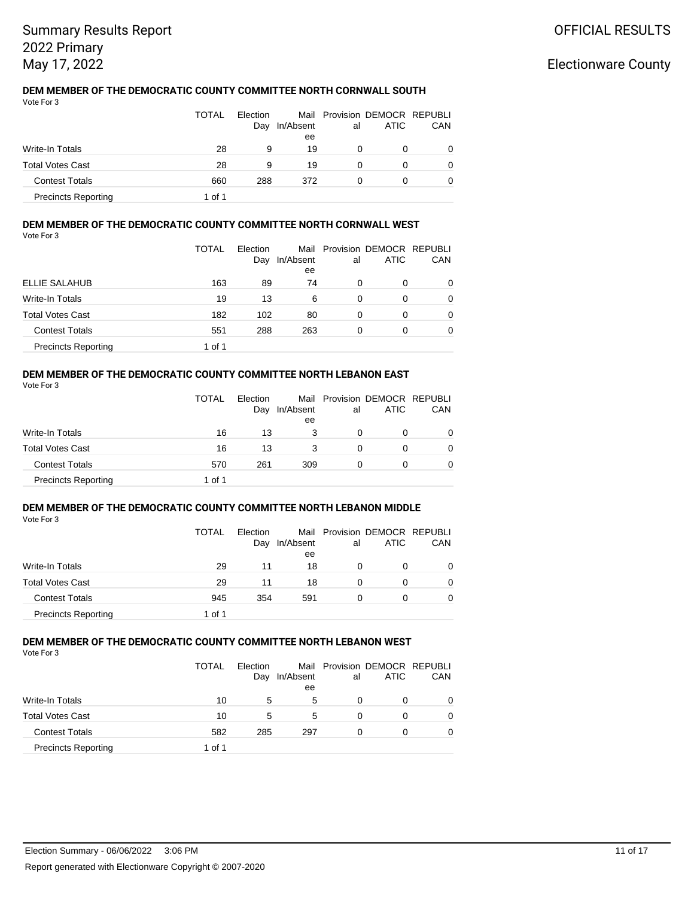#### **DEM MEMBER OF THE DEMOCRATIC COUNTY COMMITTEE NORTH CORNWALL SOUTH** Vote For 3

|                            | <b>TOTAL</b> | Election<br>Day | In/Absent<br>ee | al | Mail Provision DEMOCR REPUBLI<br>ATIC | CAN      |
|----------------------------|--------------|-----------------|-----------------|----|---------------------------------------|----------|
| Write-In Totals            | 28           | 9               | 19              | 0  |                                       | $\Omega$ |
| <b>Total Votes Cast</b>    | 28           | 9               | 19              |    |                                       | 0        |
| <b>Contest Totals</b>      | 660          | 288             | 372             | Ω  |                                       | 0        |
| <b>Precincts Reporting</b> | 1 of 1       |                 |                 |    |                                       |          |

## **DEM MEMBER OF THE DEMOCRATIC COUNTY COMMITTEE NORTH CORNWALL WEST**

Vote For 3

|                            | <b>TOTAL</b> | Election<br>Day | In/Absent<br>ee | al | Mail Provision DEMOCR REPUBLI<br>ATIC | CAN |
|----------------------------|--------------|-----------------|-----------------|----|---------------------------------------|-----|
| ELLIE SALAHUB              | 163          | 89              | 74              | 0  | 0                                     | 0   |
| Write-In Totals            | 19           | 13              | 6               | 0  | 0                                     | 0   |
| <b>Total Votes Cast</b>    | 182          | 102             | 80              | 0  | 0                                     | 0   |
| <b>Contest Totals</b>      | 551          | 288             | 263             | 0  | 0                                     | 0   |
| <b>Precincts Reporting</b> | 1 of 1       |                 |                 |    |                                       |     |

## **DEM MEMBER OF THE DEMOCRATIC COUNTY COMMITTEE NORTH LEBANON EAST**

| Vote For 3                 |              |          |           |    |                               |            |
|----------------------------|--------------|----------|-----------|----|-------------------------------|------------|
|                            | <b>TOTAL</b> | Election |           |    | Mail Provision DEMOCR REPUBLI |            |
|                            |              | Day      | In/Absent | al | ATIC                          | <b>CAN</b> |
|                            |              |          | ee        |    |                               |            |
| <b>Write-In Totals</b>     | 16           | 13       | 3         |    | 0                             | 0          |
| <b>Total Votes Cast</b>    | 16           | 13       | 3         | 0  | 0                             | 0          |
| <b>Contest Totals</b>      | 570          | 261      | 309       |    | 0                             | 0          |
| <b>Precincts Reporting</b> | 1 of 1       |          |           |    |                               |            |

### **DEM MEMBER OF THE DEMOCRATIC COUNTY COMMITTEE NORTH LEBANON MIDDLE** Vote For 3

|                            | <b>TOTAL</b> | Election<br>Day | In/Absent<br>ee | al | Mail Provision DEMOCR REPUBLI<br>ATIC | CAN |
|----------------------------|--------------|-----------------|-----------------|----|---------------------------------------|-----|
| Write-In Totals            | 29           | 11              | 18              | 0  |                                       | 0   |
| <b>Total Votes Cast</b>    | 29           | 11              | 18              | 0  |                                       | 0   |
| <b>Contest Totals</b>      | 945          | 354             | 591             | 0  | 0                                     | 0   |
| <b>Precincts Reporting</b> | 1 of 1       |                 |                 |    |                                       |     |

#### **DEM MEMBER OF THE DEMOCRATIC COUNTY COMMITTEE NORTH LEBANON WEST** Vote For 3

|                            | <b>TOTAL</b> | Election<br>Day | In/Absent<br>ee | al | Mail Provision DEMOCR REPUBLI<br>ATIC | CAN |
|----------------------------|--------------|-----------------|-----------------|----|---------------------------------------|-----|
| <b>Write-In Totals</b>     | 10           | 5               | 5               | 0  | 0                                     | 0   |
| <b>Total Votes Cast</b>    | 10           | 5               | 5               | 0  | 0                                     | 0   |
| <b>Contest Totals</b>      | 582          | 285             | 297             | 0  | 0                                     | 0   |
| <b>Precincts Reporting</b> | 1 of 1       |                 |                 |    |                                       |     |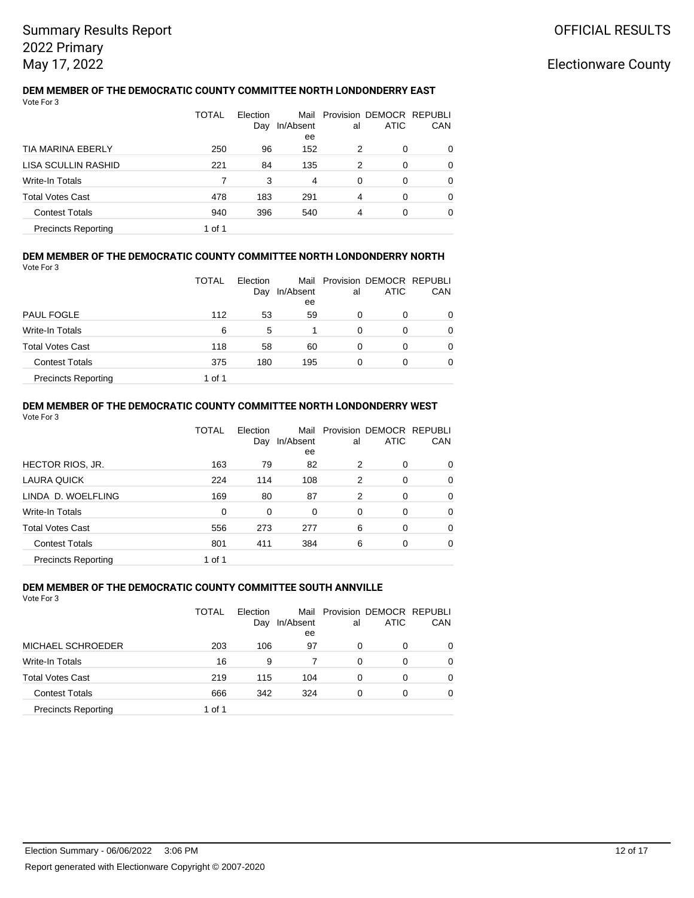### **DEM MEMBER OF THE DEMOCRATIC COUNTY COMMITTEE NORTH LONDONDERRY EAST** Vote For 3

|                            | TOTAL  | Election<br>Day | Mail<br>In/Absent<br>ee | al       | Provision DEMOCR REPUBLI<br><b>ATIC</b> | CAN |
|----------------------------|--------|-----------------|-------------------------|----------|-----------------------------------------|-----|
| <b>TIA MARINA EBERLY</b>   | 250    | 96              | 152                     | 2        | 0                                       | 0   |
| LISA SCULLIN RASHID        | 221    | 84              | 135                     | 2        | 0                                       | 0   |
| Write-In Totals            | 7      | 3               | 4                       | $\Omega$ | 0                                       | 0   |
| <b>Total Votes Cast</b>    | 478    | 183             | 291                     | 4        | 0                                       | 0   |
| <b>Contest Totals</b>      | 940    | 396             | 540                     | 4        | 0                                       | 0   |
| <b>Precincts Reporting</b> | 1 of 1 |                 |                         |          |                                         |     |

### **DEM MEMBER OF THE DEMOCRATIC COUNTY COMMITTEE NORTH LONDONDERRY NORTH** Vote For 3

|                            | TOTAL  | Election<br>Day | In/Absent<br>ee | al | Mail Provision DEMOCR REPUBLI<br><b>ATIC</b> | CAN      |
|----------------------------|--------|-----------------|-----------------|----|----------------------------------------------|----------|
| <b>PAUL FOGLE</b>          | 112    | 53              | 59              | 0  | 0                                            | 0        |
| Write-In Totals            | 6      | 5               |                 | 0  | 0                                            | $\Omega$ |
| <b>Total Votes Cast</b>    | 118    | 58              | 60              | 0  | 0                                            | 0        |
| <b>Contest Totals</b>      | 375    | 180             | 195             | 0  | 0                                            | $\Omega$ |
| <b>Precincts Reporting</b> | 1 of 1 |                 |                 |    |                                              |          |

### **DEM MEMBER OF THE DEMOCRATIC COUNTY COMMITTEE NORTH LONDONDERRY WEST** Vote For 3

|                            | <b>TOTAL</b> | Election<br>Day | Mail<br>In/Absent<br>ee | al             | Provision DEMOCR REPUBLI<br><b>ATIC</b> | <b>CAN</b> |
|----------------------------|--------------|-----------------|-------------------------|----------------|-----------------------------------------|------------|
| <b>HECTOR RIOS, JR.</b>    | 163          | 79              | 82                      | 2              | 0                                       | 0          |
| <b>LAURA QUICK</b>         | 224          | 114             | 108                     | 2              | 0                                       | 0          |
| LINDA D. WOELFLING         | 169          | 80              | 87                      | $\overline{2}$ | 0                                       | 0          |
| Write-In Totals            | 0            | 0               | 0                       | 0              | 0                                       | 0          |
| <b>Total Votes Cast</b>    | 556          | 273             | 277                     | 6              | 0                                       | 0          |
| <b>Contest Totals</b>      | 801          | 411             | 384                     | 6              | 0                                       | 0          |
| <b>Precincts Reporting</b> | 1 of 1       |                 |                         |                |                                         |            |

## **DEM MEMBER OF THE DEMOCRATIC COUNTY COMMITTEE SOUTH ANNVILLE**

|                            | TOTAL  | Election<br>Day | In/Absent<br>ee | al | Mail Provision DEMOCR REPUBLI<br>ATIC | CAN      |
|----------------------------|--------|-----------------|-----------------|----|---------------------------------------|----------|
| <b>MICHAEL SCHROEDER</b>   | 203    | 106             | 97              | 0  | 0                                     | $\Omega$ |
| <b>Write-In Totals</b>     | 16     | 9               |                 | 0  | 0                                     | $\Omega$ |
| <b>Total Votes Cast</b>    | 219    | 115             | 104             | 0  | 0                                     | $\Omega$ |
| <b>Contest Totals</b>      | 666    | 342             | 324             | 0  | 0                                     | 0        |
| <b>Precincts Reporting</b> | 1 of 1 |                 |                 |    |                                       |          |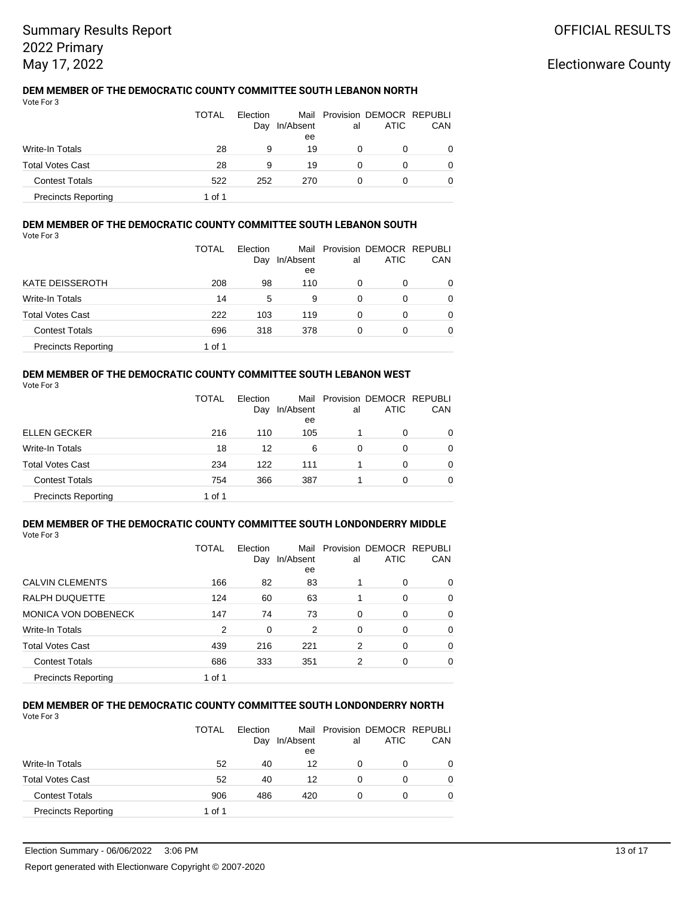#### **DEM MEMBER OF THE DEMOCRATIC COUNTY COMMITTEE SOUTH LEBANON NORTH** Vote For 3

|                            | <b>TOTAL</b> | Election | Day In/Absent<br>ee | al | Mail Provision DEMOCR REPUBLI<br>ATIC | CAN |
|----------------------------|--------------|----------|---------------------|----|---------------------------------------|-----|
| Write-In Totals            | 28           | 9        | 19                  |    | O                                     | 0   |
| <b>Total Votes Cast</b>    | 28           | 9        | 19                  |    |                                       | 0   |
| <b>Contest Totals</b>      | 522          | 252      | 270                 |    |                                       | 0   |
| <b>Precincts Reporting</b> | 1 of 1       |          |                     |    |                                       |     |

## **DEM MEMBER OF THE DEMOCRATIC COUNTY COMMITTEE SOUTH LEBANON SOUTH**

Vote For 3

|                            | <b>TOTAL</b> | Election |           |    | Mail Provision DEMOCR REPUBLI |          |
|----------------------------|--------------|----------|-----------|----|-------------------------------|----------|
|                            |              | Day      | In/Absent | al | <b>ATIC</b>                   | CAN      |
|                            |              |          | ee        |    |                               |          |
| KATE DEISSEROTH            | 208          | 98       | 110       | 0  | 0                             | 0        |
| Write-In Totals            | 14           | 5        | 9         | 0  | 0                             | 0        |
| <b>Total Votes Cast</b>    | 222          | 103      | 119       | 0  | 0                             | 0        |
| <b>Contest Totals</b>      | 696          | 318      | 378       | 0  | 0                             | $\Omega$ |
| <b>Precincts Reporting</b> | 1 of 1       |          |           |    |                               |          |

## **DEM MEMBER OF THE DEMOCRATIC COUNTY COMMITTEE SOUTH LEBANON WEST**

Vote For 3

|                            | <b>TOTAL</b> | Election<br>Day | In/Absent<br>ee | al | Mail Provision DEMOCR REPUBLI<br>ATIC | CAN      |
|----------------------------|--------------|-----------------|-----------------|----|---------------------------------------|----------|
| <b>ELLEN GECKER</b>        | 216          | 110             | 105             |    | 0                                     | 0        |
| Write-In Totals            | 18           | 12              | 6               | 0  | 0                                     | 0        |
| <b>Total Votes Cast</b>    | 234          | 122             | 111             |    | 0                                     | $\Omega$ |
| <b>Contest Totals</b>      | 754          | 366             | 387             |    | 0                                     | $\Omega$ |
| <b>Precincts Reporting</b> | 1 of 1       |                 |                 |    |                                       |          |

### **DEM MEMBER OF THE DEMOCRATIC COUNTY COMMITTEE SOUTH LONDONDERRY MIDDLE** Vote For 3

|                            | TOTAL  | Election<br>Day | Mail<br>In/Absent<br>ee | al             | Provision DEMOCR REPUBLI<br><b>ATIC</b> | CAN |
|----------------------------|--------|-----------------|-------------------------|----------------|-----------------------------------------|-----|
| <b>CALVIN CLEMENTS</b>     | 166    | 82              | 83                      | 1              | $\Omega$                                | 0   |
| RALPH DUQUETTE             | 124    | 60              | 63                      | 1              | 0                                       | 0   |
| <b>MONICA VON DOBENECK</b> | 147    | 74              | 73                      | 0              | $\Omega$                                | 0   |
| Write-In Totals            | 2      | $\Omega$        | 2                       | 0              | 0                                       | 0   |
| <b>Total Votes Cast</b>    | 439    | 216             | 221                     | $\overline{2}$ | $\Omega$                                | 0   |
| <b>Contest Totals</b>      | 686    | 333             | 351                     | 2              | 0                                       | 0   |
| <b>Precincts Reporting</b> | 1 of 1 |                 |                         |                |                                         |     |

#### **DEM MEMBER OF THE DEMOCRATIC COUNTY COMMITTEE SOUTH LONDONDERRY NORTH** Vote For 3

|                            | TOTAL  | Election<br>Day | In/Absent<br>ee | al | Mail Provision DEMOCR REPUBLI<br>ATIC | CAN      |
|----------------------------|--------|-----------------|-----------------|----|---------------------------------------|----------|
| Write-In Totals            | 52     | 40              | 12              | 0  | 0                                     | $\Omega$ |
| <b>Total Votes Cast</b>    | 52     | 40              | 12              | 0  | 0                                     | 0        |
| <b>Contest Totals</b>      | 906    | 486             | 420             | 0  | 0                                     | 0        |
| <b>Precincts Reporting</b> | 1 of 1 |                 |                 |    |                                       |          |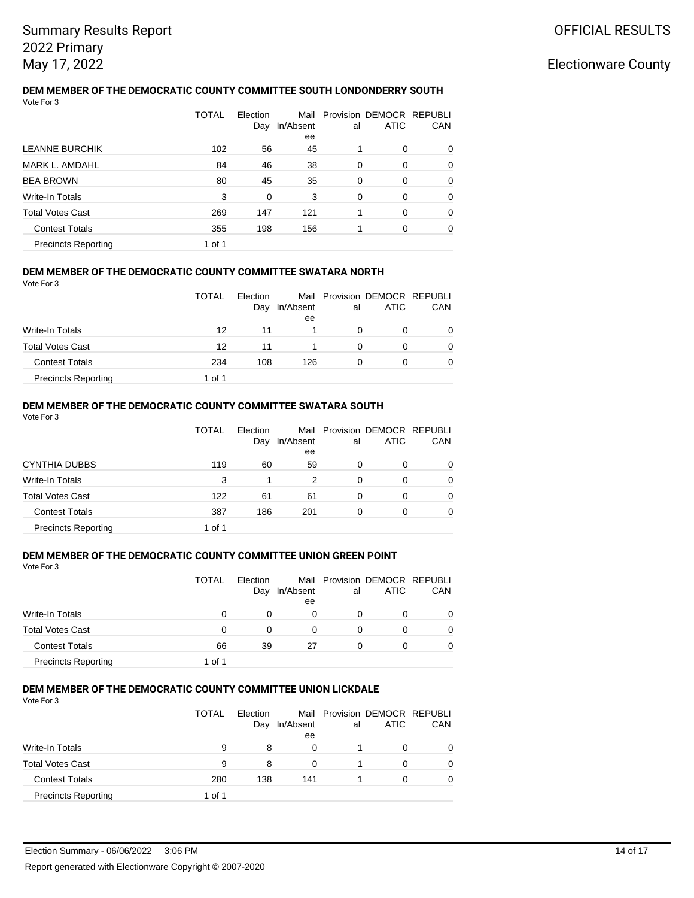### **DEM MEMBER OF THE DEMOCRATIC COUNTY COMMITTEE SOUTH LONDONDERRY SOUTH** Vote For 3

|                            | TOTAL  | Election<br>Day | Mail<br>In/Absent<br>ee | al | Provision DEMOCR REPUBLI<br><b>ATIC</b> | CAN |
|----------------------------|--------|-----------------|-------------------------|----|-----------------------------------------|-----|
| <b>LEANNE BURCHIK</b>      | 102    | 56              | 45                      | 1  | 0                                       | 0   |
| <b>MARK L. AMDAHL</b>      | 84     | 46              | 38                      | 0  | 0                                       | 0   |
| <b>BEA BROWN</b>           | 80     | 45              | 35                      | 0  | 0                                       | 0   |
| Write-In Totals            | 3      | 0               | 3                       | 0  | 0                                       | 0   |
| <b>Total Votes Cast</b>    | 269    | 147             | 121                     | 1  | 0                                       | 0   |
| <b>Contest Totals</b>      | 355    | 198             | 156                     |    | 0                                       | 0   |
| <b>Precincts Reporting</b> | 1 of 1 |                 |                         |    |                                         |     |

#### **DEM MEMBER OF THE DEMOCRATIC COUNTY COMMITTEE SWATARA NORTH** Vote For 3

| , , , , , , , , , ,        | <b>TOTAL</b> | Election<br>Day | In/Absent | Mail Provision DEMOCR REPUBLI<br>al | ATIC | <b>CAN</b> |
|----------------------------|--------------|-----------------|-----------|-------------------------------------|------|------------|
| Write-In Totals            | 12           | 11              | ee        | 0                                   | 0    | 0          |
| <b>Total Votes Cast</b>    | 12           | 11              |           | 0                                   | 0    | 0          |
| <b>Contest Totals</b>      | 234          | 108             | 126       | 0                                   | 0    | 0          |
| <b>Precincts Reporting</b> | 1 of 1       |                 |           |                                     |      |            |

## **DEM MEMBER OF THE DEMOCRATIC COUNTY COMMITTEE SWATARA SOUTH**

|                            | TOTAL  | Election<br>Day | In/Absent<br>ee | al | Mail Provision DEMOCR REPUBLI<br><b>ATIC</b> | CAN      |
|----------------------------|--------|-----------------|-----------------|----|----------------------------------------------|----------|
| <b>CYNTHIA DUBBS</b>       | 119    | 60              | 59              | 0  | 0                                            | 0        |
| <b>Write-In Totals</b>     | 3      |                 | 2               | 0  | 0                                            | $\Omega$ |
| <b>Total Votes Cast</b>    | 122    | 61              | 61              | 0  | 0                                            | 0        |
| <b>Contest Totals</b>      | 387    | 186             | 201             | 0  | 0                                            | 0        |
| <b>Precincts Reporting</b> | 1 of 1 |                 |                 |    |                                              |          |

## **DEM MEMBER OF THE DEMOCRATIC COUNTY COMMITTEE UNION GREEN POINT**

| Vote For 3 |  |
|------------|--|
|------------|--|

|                            | <b>TOTAL</b> | Election<br>Day | In/Absent<br>ee | al | Mail Provision DEMOCR REPUBLI<br>ATIC | CAN |
|----------------------------|--------------|-----------------|-----------------|----|---------------------------------------|-----|
| <b>Write-In Totals</b>     | 0            | 0               | 0               | 0  |                                       | 0   |
| <b>Total Votes Cast</b>    | 0            | 0               | 0               | 0  | 0                                     | 0   |
| <b>Contest Totals</b>      | 66           | 39              | 27              | 0  | 0                                     | 0   |
| <b>Precincts Reporting</b> | 1 of 1       |                 |                 |    |                                       |     |

### **DEM MEMBER OF THE DEMOCRATIC COUNTY COMMITTEE UNION LICKDALE**

|                            | TOTAL  | Election<br>Day | In/Absent<br>ee | al | Mail Provision DEMOCR REPUBLI<br>ATIC | CAN |
|----------------------------|--------|-----------------|-----------------|----|---------------------------------------|-----|
| Write-In Totals            | 9      | 8               | 0               |    | 0                                     | 0   |
| <b>Total Votes Cast</b>    | 9      | 8               | 0               |    | 0                                     | 0   |
| <b>Contest Totals</b>      | 280    | 138             | 141             |    | 0                                     | 0   |
| <b>Precincts Reporting</b> | 1 of 1 |                 |                 |    |                                       |     |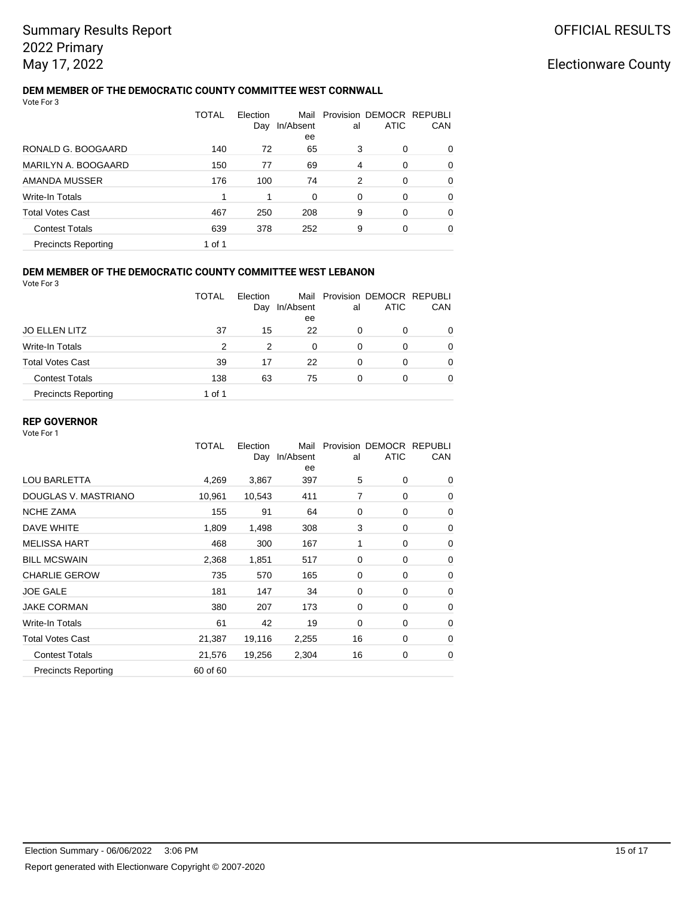## OFFICIAL RESULTS

## Electionware County

### **DEM MEMBER OF THE DEMOCRATIC COUNTY COMMITTEE WEST CORNWALL** Vote For 3

|                            | TOTAL  | Election<br>Dav | Mail<br>In/Absent<br>ee | al | Provision DEMOCR REPUBLI<br><b>ATIC</b> | CAN      |
|----------------------------|--------|-----------------|-------------------------|----|-----------------------------------------|----------|
| RONALD G. BOOGAARD         | 140    | 72              | 65                      | 3  | $\Omega$                                | 0        |
| MARILYN A. BOOGAARD        | 150    | 77              | 69                      | 4  | 0                                       | 0        |
| AMANDA MUSSER              | 176    | 100             | 74                      | 2  | 0                                       | 0        |
| Write-In Totals            | 1      |                 | 0                       | 0  | 0                                       | 0        |
| <b>Total Votes Cast</b>    | 467    | 250             | 208                     | 9  | $\Omega$                                | 0        |
| <b>Contest Totals</b>      | 639    | 378             | 252                     | 9  | $\Omega$                                | $\Omega$ |
| <b>Precincts Reporting</b> | 1 of 1 |                 |                         |    |                                         |          |

#### **DEM MEMBER OF THE DEMOCRATIC COUNTY COMMITTEE WEST LEBANON** Vote For 3

| 1 U U U U                  |              |                 |           |    |                                              |     |
|----------------------------|--------------|-----------------|-----------|----|----------------------------------------------|-----|
|                            | <b>TOTAL</b> | Election<br>Day | In/Absent | al | Mail Provision DEMOCR REPUBLI<br><b>ATIC</b> | CAN |
|                            |              |                 | ee        |    |                                              |     |
| <b>JO ELLEN LITZ</b>       | 37           | 15              | 22        | 0  | 0                                            | 0   |
| Write-In Totals            | 2            | 2               | $\Omega$  | 0  | 0                                            | 0   |
| <b>Total Votes Cast</b>    | 39           | 17              | 22        | 0  | 0                                            | 0   |
| <b>Contest Totals</b>      | 138          | 63              | 75        | 0  | 0                                            | 0   |
| <b>Precincts Reporting</b> | 1 of 1       |                 |           |    |                                              |     |
|                            |              |                 |           |    |                                              |     |

## **REP GOVERNOR**

|                            | <b>TOTAL</b> | Election<br>Day | Mail<br>In/Absent<br>ee | al | Provision DEMOCR REPUBLI<br><b>ATIC</b> | CAN |
|----------------------------|--------------|-----------------|-------------------------|----|-----------------------------------------|-----|
| <b>LOU BARLETTA</b>        | 4,269        | 3,867           | 397                     | 5  | 0                                       | 0   |
| DOUGLAS V. MASTRIANO       | 10,961       | 10,543          | 411                     | 7  | 0                                       | 0   |
| <b>NCHE ZAMA</b>           | 155          | 91              | 64                      | 0  | 0                                       | 0   |
| DAVE WHITE                 | 1,809        | 1,498           | 308                     | 3  | 0                                       | 0   |
| <b>MELISSA HART</b>        | 468          | 300             | 167                     | 1  | 0                                       | 0   |
| <b>BILL MCSWAIN</b>        | 2,368        | 1,851           | 517                     | 0  | 0                                       | 0   |
| <b>CHARLIE GEROW</b>       | 735          | 570             | 165                     | 0  | 0                                       | 0   |
| <b>JOE GALE</b>            | 181          | 147             | 34                      | 0  | 0                                       | 0   |
| <b>JAKE CORMAN</b>         | 380          | 207             | 173                     | 0  | 0                                       | 0   |
| Write-In Totals            | 61           | 42              | 19                      | 0  | 0                                       | 0   |
| <b>Total Votes Cast</b>    | 21,387       | 19,116          | 2,255                   | 16 | 0                                       | 0   |
| <b>Contest Totals</b>      | 21,576       | 19,256          | 2,304                   | 16 | 0                                       | 0   |
| <b>Precincts Reporting</b> | 60 of 60     |                 |                         |    |                                         |     |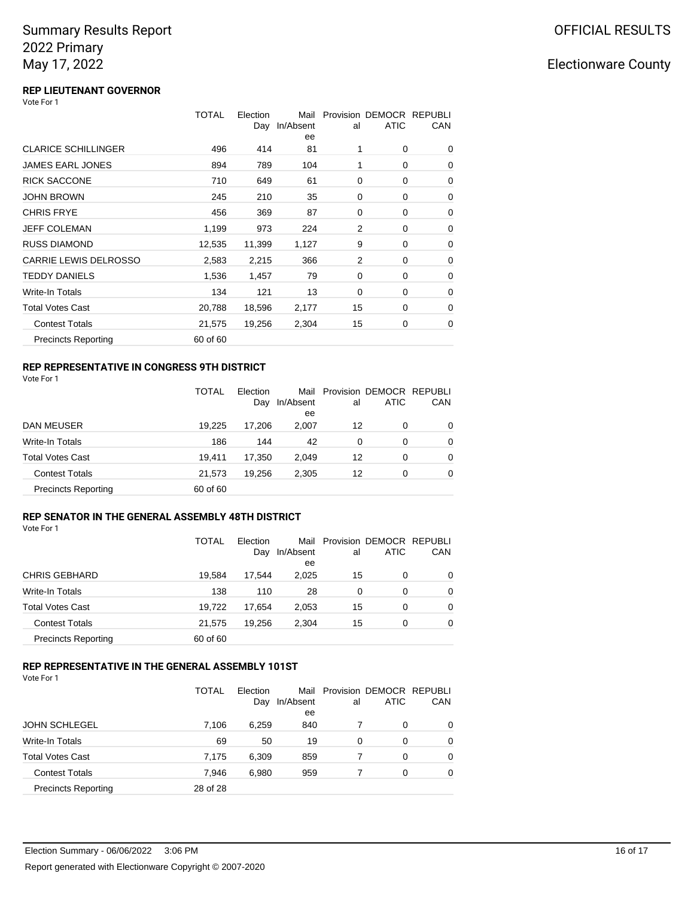## Electionware County

## **REP LIEUTENANT GOVERNOR**

| Vote For 1 |  |
|------------|--|
|------------|--|

|                              | <b>TOTAL</b> | Election<br>Day | Mail<br>In/Absent<br>ee | al             | Provision DEMOCR REPUBLI<br><b>ATIC</b> | CAN         |
|------------------------------|--------------|-----------------|-------------------------|----------------|-----------------------------------------|-------------|
| <b>CLARICE SCHILLINGER</b>   | 496          | 414             | 81                      | 1              | 0                                       | 0           |
| <b>JAMES EARL JONES</b>      | 894          | 789             | 104                     | 1              | 0                                       | 0           |
| <b>RICK SACCONE</b>          | 710          | 649             | 61                      | 0              | 0                                       | 0           |
| <b>JOHN BROWN</b>            | 245          | 210             | 35                      | 0              | 0                                       | 0           |
| <b>CHRIS FRYE</b>            | 456          | 369             | 87                      | 0              | 0                                       | $\mathbf 0$ |
| <b>JEFF COLEMAN</b>          | 1,199        | 973             | 224                     | 2              | 0                                       | 0           |
| <b>RUSS DIAMOND</b>          | 12,535       | 11,399          | 1,127                   | 9              | 0                                       | 0           |
| <b>CARRIE LEWIS DELROSSO</b> | 2,583        | 2,215           | 366                     | $\overline{2}$ | 0                                       | $\mathbf 0$ |
| <b>TEDDY DANIELS</b>         | 1,536        | 1,457           | 79                      | 0              | 0                                       | 0           |
| Write-In Totals              | 134          | 121             | 13                      | 0              | 0                                       | $\mathbf 0$ |
| <b>Total Votes Cast</b>      | 20,788       | 18,596          | 2,177                   | 15             | 0                                       | 0           |
| <b>Contest Totals</b>        | 21,575       | 19,256          | 2,304                   | 15             | 0                                       | $\mathbf 0$ |
| <b>Precincts Reporting</b>   | 60 of 60     |                 |                         |                |                                         |             |

## **REP REPRESENTATIVE IN CONGRESS 9TH DISTRICT**

|                            | <b>TOTAL</b> | Election<br>Day | Mail<br>In/Absent<br>ee | al | Provision DEMOCR REPUBLI<br>ATIC | CAN |
|----------------------------|--------------|-----------------|-------------------------|----|----------------------------------|-----|
| DAN MEUSER                 | 19.225       | 17.206          | 2,007                   | 12 | 0                                | 0   |
| Write-In Totals            | 186          | 144             | 42                      | 0  | 0                                | 0   |
| Total Votes Cast           | 19.411       | 17.350          | 2.049                   | 12 | 0                                | 0   |
| <b>Contest Totals</b>      | 21.573       | 19.256          | 2,305                   | 12 | 0                                | 0   |
| <b>Precincts Reporting</b> | 60 of 60     |                 |                         |    |                                  |     |

### **REP SENATOR IN THE GENERAL ASSEMBLY 48TH DISTRICT**

| Vote For |  |
|----------|--|
|----------|--|

|                            | TOTAL    | Election<br>Day | In/Absent<br>ee | al | Mail Provision DEMOCR REPUBLI<br>ATIC | CAN |
|----------------------------|----------|-----------------|-----------------|----|---------------------------------------|-----|
| <b>CHRIS GEBHARD</b>       | 19.584   | 17.544          | 2,025           | 15 | 0                                     | 0   |
| <b>Write-In Totals</b>     | 138      | 110             | 28              | 0  | 0                                     | 0   |
| <b>Total Votes Cast</b>    | 19.722   | 17.654          | 2,053           | 15 | 0                                     | 0   |
| <b>Contest Totals</b>      | 21.575   | 19.256          | 2,304           | 15 | 0                                     | 0   |
| <b>Precincts Reporting</b> | 60 of 60 |                 |                 |    |                                       |     |

## **REP REPRESENTATIVE IN THE GENERAL ASSEMBLY 101ST**

| Vote For 1 |  |  |
|------------|--|--|
|------------|--|--|

|                            | <b>TOTAL</b> | Election<br>Day | Mail<br>In/Absent<br>ee | al | Provision DEMOCR REPUBLI<br>ATIC | CAN      |
|----------------------------|--------------|-----------------|-------------------------|----|----------------------------------|----------|
| <b>JOHN SCHLEGEL</b>       | 7.106        | 6.259           | 840                     |    | 0                                | 0        |
| <b>Write-In Totals</b>     | 69           | 50              | 19                      | 0  | 0                                | $\Omega$ |
| <b>Total Votes Cast</b>    | 7,175        | 6,309           | 859                     |    | 0                                | 0        |
| <b>Contest Totals</b>      | 7.946        | 6.980           | 959                     |    | 0                                | $\Omega$ |
| <b>Precincts Reporting</b> | 28 of 28     |                 |                         |    |                                  |          |